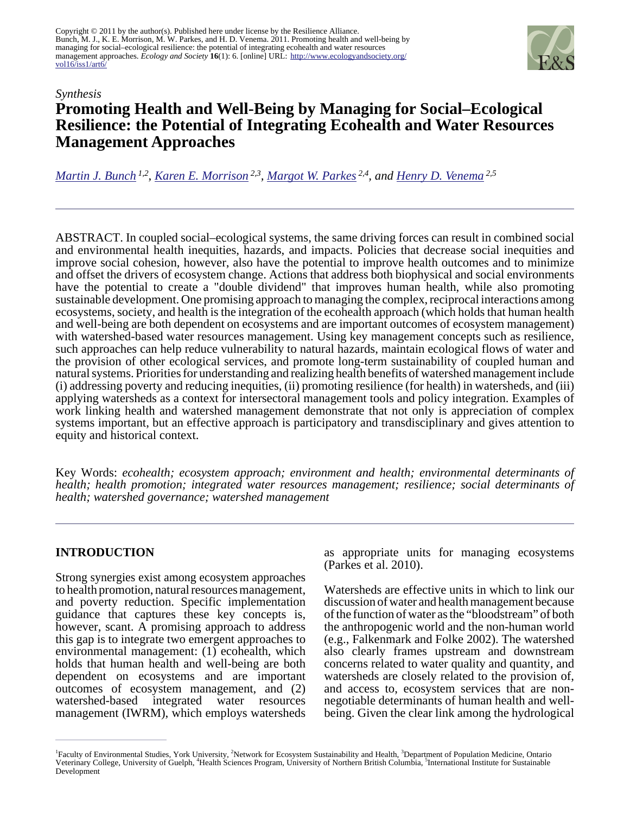

#### *Synthesis*

# **Promoting Health and Well-Being by Managing for Social–Ecological Resilience: the Potential of Integrating Ecohealth and Water Resources Management Approaches**

*[Martin J. Bunch](mailto:bunchmj@yorku.ca) 1,2 , [Karen E. Morrison](mailto:karenm@uoguelph.ca) 2,3 , [Margot W. Parkes](mailto:mwparkes@interchange.ubc.ca) 2,4, and [Henry D. Venema](mailto:hvenema@iisd.ca) 2,5*

ABSTRACT. In coupled social–ecological systems, the same driving forces can result in combined social and environmental health inequities, hazards, and impacts. Policies that decrease social inequities and improve social cohesion, however, also have the potential to improve health outcomes and to minimize and offset the drivers of ecosystem change. Actions that address both biophysical and social environments have the potential to create a "double dividend" that improves human health, while also promoting sustainable development. One promising approach to managing the complex, reciprocal interactions among ecosystems, society, and health is the integration of the ecohealth approach (which holds that human health and well-being are both dependent on ecosystems and are important outcomes of ecosystem management) with watershed-based water resources management. Using key management concepts such as resilience, such approaches can help reduce vulnerability to natural hazards, maintain ecological flows of water and the provision of other ecological services, and promote long-term sustainability of coupled human and natural systems. Priorities for understanding and realizing health benefits of watershed management include (i) addressing poverty and reducing inequities, (ii) promoting resilience (for health) in watersheds, and (iii) applying watersheds as a context for intersectoral management tools and policy integration. Examples of work linking health and watershed management demonstrate that not only is appreciation of complex systems important, but an effective approach is participatory and transdisciplinary and gives attention to equity and historical context.

Key Words: *ecohealth; ecosystem approach; environment and health; environmental determinants of health; health promotion; integrated water resources management; resilience; social determinants of health; watershed governance; watershed management*

## **INTRODUCTION**

Strong synergies exist among ecosystem approaches to health promotion, natural resources management, and poverty reduction. Specific implementation guidance that captures these key concepts is, however, scant. A promising approach to address this gap is to integrate two emergent approaches to environmental management: (1) ecohealth, which holds that human health and well-being are both dependent on ecosystems and are important outcomes of ecosystem management, and (2) watershed-based integrated water resources watershed-based integrated water resources management (IWRM), which employs watersheds

as appropriate units for managing ecosystems (Parkes et al. 2010).

Watersheds are effective units in which to link our discussion of water and health management because of the function of water as the "bloodstream" of both the anthropogenic world and the non-human world (e.g., Falkenmark and Folke 2002). The watershed also clearly frames upstream and downstream concerns related to water quality and quantity, and watersheds are closely related to the provision of, and access to, ecosystem services that are nonnegotiable determinants of human health and wellbeing. Given the clear link among the hydrological

<sup>&</sup>lt;sup>1</sup> Faculty of Environmental Studies, York University, <sup>2</sup>Network for Ecosystem Sustainability and Health, <sup>3</sup>Department of Population Medicine, Ontario Veterinary College, University of Guelph, <sup>4</sup>Health Sciences Program, University of Northern British Columbia, <sup>5</sup>International Institute for Sustainable Development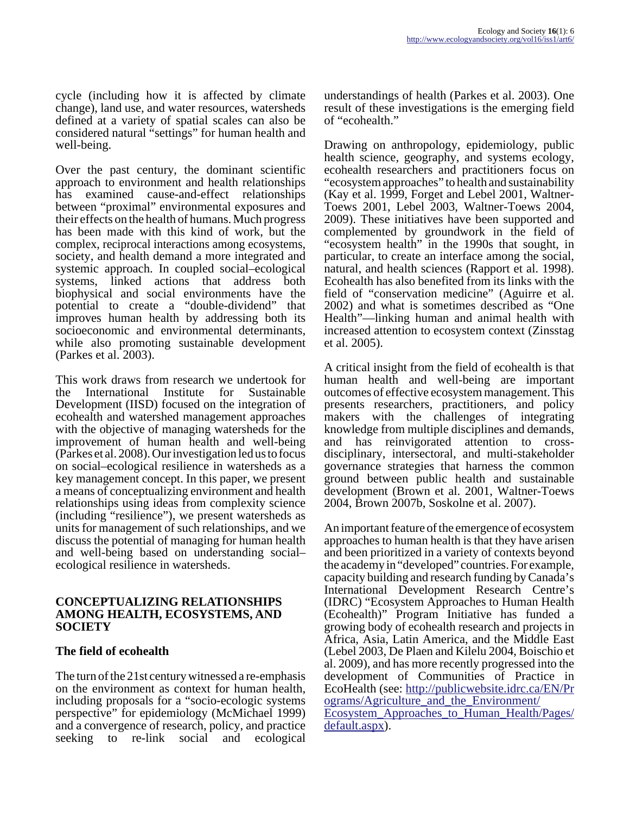cycle (including how it is affected by climate change), land use, and water resources, watersheds defined at a variety of spatial scales can also be considered natural "settings" for human health and well-being.

Over the past century, the dominant scientific approach to environment and health relationships has examined cause-and-effect relationships between "proximal" environmental exposures and their effects on the health of humans. Much progress has been made with this kind of work, but the complex, reciprocal interactions among ecosystems, society, and health demand a more integrated and systemic approach. In coupled social–ecological systems, linked actions that address both biophysical and social environments have the potential to create a "double-dividend" that improves human health by addressing both its socioeconomic and environmental determinants, while also promoting sustainable development (Parkes et al. 2003).

This work draws from research we undertook for<br>the International Institute for Sustainable International Development (IISD) focused on the integration of ecohealth and watershed management approaches with the objective of managing watersheds for the improvement of human health and well-being (Parkes et al. 2008). Our investigation led us to focus on social–ecological resilience in watersheds as a key management concept. In this paper, we present a means of conceptualizing environment and health relationships using ideas from complexity science (including "resilience"), we present watersheds as units for management of such relationships, and we discuss the potential of managing for human health and well-being based on understanding social– ecological resilience in watersheds.

#### **CONCEPTUALIZING RELATIONSHIPS AMONG HEALTH, ECOSYSTEMS, AND SOCIETY**

## **The field of ecohealth**

The turn of the 21st century witnessed a re-emphasis on the environment as context for human health, including proposals for a "socio-ecologic systems perspective" for epidemiology (McMichael 1999) and a convergence of research, policy, and practice seeking to re-link social and ecological understandings of health (Parkes et al. 2003). One result of these investigations is the emerging field of "ecohealth."

Drawing on anthropology, epidemiology, public health science, geography, and systems ecology, ecohealth researchers and practitioners focus on "ecosystem approaches" to health and sustainability (Kay et al. 1999, Forget and Lebel 2001, Waltner-Toews 2001, Lebel 2003, Waltner-Toews 2004, 2009). These initiatives have been supported and complemented by groundwork in the field of "ecosystem health" in the 1990s that sought, in particular, to create an interface among the social, natural, and health sciences (Rapport et al. 1998). Ecohealth has also benefited from its links with the field of "conservation medicine" (Aguirre et al. 2002) and what is sometimes described as "One Health"—linking human and animal health with increased attention to ecosystem context (Zinsstag et al. 2005).

A critical insight from the field of ecohealth is that human health and well-being are important outcomes of effective ecosystem management. This presents researchers, practitioners, and policy makers with the challenges of integrating knowledge from multiple disciplines and demands, and has reinvigorated attention to crossdisciplinary, intersectoral, and multi-stakeholder governance strategies that harness the common ground between public health and sustainable development (Brown et al. 2001, Waltner-Toews 2004, Brown 2007b, Soskolne et al. 2007).

An important feature of the emergence of ecosystem approaches to human health is that they have arisen and been prioritized in a variety of contexts beyond the academy in "developed" countries. For example, capacity building and research funding by Canada's International Development Research Centre's (IDRC) "Ecosystem Approaches to Human Health (Ecohealth)" Program Initiative has funded a growing body of ecohealth research and projects in Africa, Asia, Latin America, and the Middle East (Lebel 2003, De Plaen and Kilelu 2004, Boischio et al. 2009), and has more recently progressed into the development of Communities of Practice in EcoHealth (see: [http://publicwebsite.idrc.ca/EN/Pr](http://publicwebsite.idrc.ca/EN/Programs/Agriculture_and_the_Environment/Ecosystem_Approaches_to_Human_Health/Pages/default.aspx) [ograms/Agriculture\\_and\\_the\\_Environment/](http://publicwebsite.idrc.ca/EN/Programs/Agriculture_and_the_Environment/Ecosystem_Approaches_to_Human_Health/Pages/default.aspx) Ecosystem\_Approaches\_to\_Human\_Health/Pages/ [default.aspx](http://publicwebsite.idrc.ca/EN/Programs/Agriculture_and_the_Environment/Ecosystem_Approaches_to_Human_Health/Pages/default.aspx)).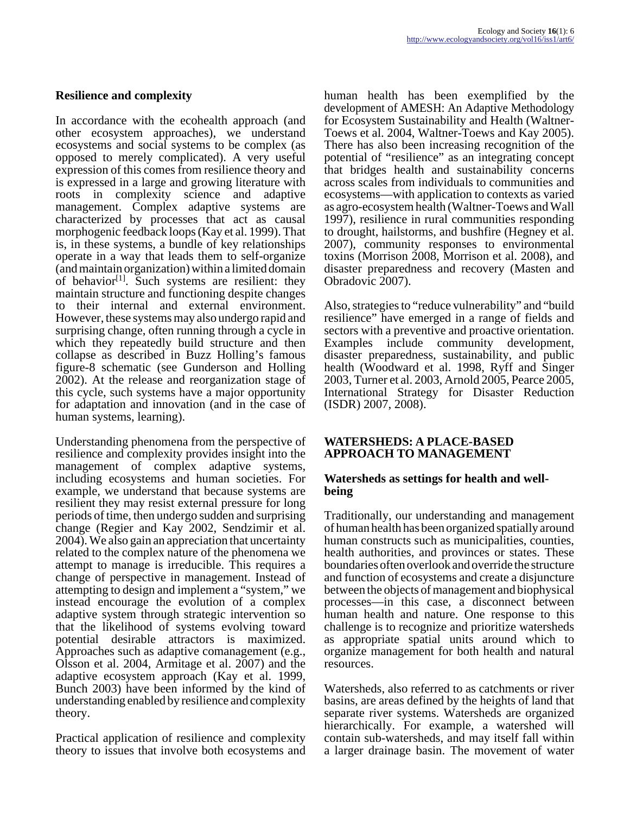## **Resilience and complexity**

In accordance with the ecohealth approach (and other ecosystem approaches), we understand ecosystems and social systems to be complex (as opposed to merely complicated). A very useful expression of this comes from resilience theory and is expressed in a large and growing literature with roots in complexity science and adaptive management. Complex adaptive systems are characterized by processes that act as causal morphogenic feedback loops (Kay et al. 1999). That is, in these systems, a bundle of key relationships operate in a way that leads them to self-organize (and maintain organization) within a limited domain of behavior<sup>[1]</sup>. Such systems are resilient: they maintain structure and functioning despite changes to their internal and external environment. However, these systems may also undergo rapid and surprising change, often running through a cycle in which they repeatedly build structure and then collapse as described in Buzz Holling's famous figure-8 schematic (see Gunderson and Holling 2002). At the release and reorganization stage of this cycle, such systems have a major opportunity for adaptation and innovation (and in the case of human systems, learning).

Understanding phenomena from the perspective of resilience and complexity provides insight into the management of complex adaptive systems, including ecosystems and human societies. For example, we understand that because systems are resilient they may resist external pressure for long periods of time, then undergo sudden and surprising change (Regier and Kay 2002, Sendzimir et al. 2004). We also gain an appreciation that uncertainty related to the complex nature of the phenomena we attempt to manage is irreducible. This requires a change of perspective in management. Instead of attempting to design and implement a "system," we instead encourage the evolution of a complex adaptive system through strategic intervention so that the likelihood of systems evolving toward potential desirable attractors is maximized. Approaches such as adaptive comanagement (e.g., Olsson et al. 2004, Armitage et al. 2007) and the adaptive ecosystem approach (Kay et al. 1999, Bunch 2003) have been informed by the kind of understanding enabled by resilience and complexity theory.

Practical application of resilience and complexity theory to issues that involve both ecosystems and human health has been exemplified by the development of AMESH: An Adaptive Methodology for Ecosystem Sustainability and Health (Waltner-Toews et al. 2004, Waltner-Toews and Kay 2005). There has also been increasing recognition of the potential of "resilience" as an integrating concept that bridges health and sustainability concerns across scales from individuals to communities and ecosystems—with application to contexts as varied as agro-ecosystem health (Waltner-Toews and Wall 1997), resilience in rural communities responding to drought, hailstorms, and bushfire (Hegney et al. 2007), community responses to environmental toxins (Morrison 2008, Morrison et al. 2008), and disaster preparedness and recovery (Masten and Obradovic 2007).

Also, strategies to "reduce vulnerability" and "build resilience" have emerged in a range of fields and sectors with a preventive and proactive orientation. Examples include community development, disaster preparedness, sustainability, and public health (Woodward et al. 1998, Ryff and Singer 2003, Turner et al. 2003, Arnold 2005, Pearce 2005, International Strategy for Disaster Reduction (ISDR) 2007, 2008).

## **WATERSHEDS: A PLACE-BASED APPROACH TO MANAGEMENT**

## **Watersheds as settings for health and wellbeing**

Traditionally, our understanding and management of human health has been organized spatially around human constructs such as municipalities, counties, health authorities, and provinces or states. These boundaries often overlook and override the structure and function of ecosystems and create a disjuncture between the objects of management and biophysical processes—in this case, a disconnect between human health and nature. One response to this challenge is to recognize and prioritize watersheds as appropriate spatial units around which to organize management for both health and natural resources.

Watersheds, also referred to as catchments or river basins, are areas defined by the heights of land that separate river systems. Watersheds are organized hierarchically. For example, a watershed will contain sub-watersheds, and may itself fall within a larger drainage basin. The movement of water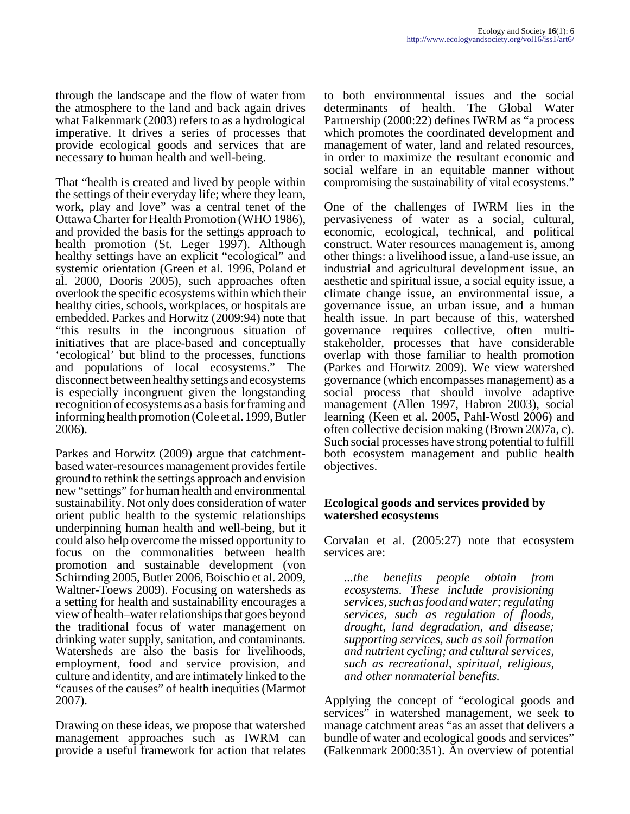through the landscape and the flow of water from the atmosphere to the land and back again drives what Falkenmark (2003) refers to as a hydrological imperative. It drives a series of processes that provide ecological goods and services that are necessary to human health and well-being.

That "health is created and lived by people within the settings of their everyday life; where they learn, work, play and love" was a central tenet of the Ottawa Charter for Health Promotion (WHO 1986), and provided the basis for the settings approach to health promotion (St. Leger 1997). Although healthy settings have an explicit "ecological" and systemic orientation (Green et al. 1996, Poland et al. 2000, Dooris 2005), such approaches often overlook the specific ecosystems within which their healthy cities, schools, workplaces, or hospitals are embedded. Parkes and Horwitz (2009:94) note that "this results in the incongruous situation of initiatives that are place-based and conceptually 'ecological' but blind to the processes, functions and populations of local ecosystems." The disconnect between healthy settings and ecosystems is especially incongruent given the longstanding recognition of ecosystems as a basis for framing and informing health promotion (Cole et al. 1999, Butler 2006).

Parkes and Horwitz (2009) argue that catchmentbased water-resources management provides fertile ground to rethink the settings approach and envision new "settings" for human health and environmental sustainability. Not only does consideration of water orient public health to the systemic relationships underpinning human health and well-being, but it could also help overcome the missed opportunity to focus on the commonalities between health promotion and sustainable development (von Schirnding 2005, Butler 2006, Boischio et al. 2009, Waltner-Toews 2009). Focusing on watersheds as a setting for health and sustainability encourages a view of health–water relationships that goes beyond the traditional focus of water management on drinking water supply, sanitation, and contaminants. Watersheds are also the basis for livelihoods, employment, food and service provision, and culture and identity, and are intimately linked to the "causes of the causes" of health inequities (Marmot 2007).

Drawing on these ideas, we propose that watershed management approaches such as IWRM can provide a useful framework for action that relates

to both environmental issues and the social determinants of health. The Global Water Partnership (2000:22) defines IWRM as "a process which promotes the coordinated development and management of water, land and related resources, in order to maximize the resultant economic and social welfare in an equitable manner without compromising the sustainability of vital ecosystems."

One of the challenges of IWRM lies in the pervasiveness of water as a social, cultural, economic, ecological, technical, and political construct. Water resources management is, among other things: a livelihood issue, a land-use issue, an industrial and agricultural development issue, an aesthetic and spiritual issue, a social equity issue, a climate change issue, an environmental issue, a governance issue, an urban issue, and a human health issue. In part because of this, watershed governance requires collective, often multistakeholder, processes that have considerable overlap with those familiar to health promotion (Parkes and Horwitz 2009). We view watershed governance (which encompasses management) as a social process that should involve adaptive management (Allen 1997, Habron 2003), social learning (Keen et al. 2005, Pahl-Wostl 2006) and often collective decision making (Brown 2007a, c). Such social processes have strong potential to fulfill both ecosystem management and public health objectives.

## **Ecological goods and services provided by watershed ecosystems**

Corvalan et al. (2005:27) note that ecosystem services are:

*...the benefits people obtain from ecosystems. These include provisioning services, such as food and water; regulating services, such as regulation of floods, drought, land degradation, and disease; supporting services, such as soil formation and nutrient cycling; and cultural services, such as recreational, spiritual, religious, and other nonmaterial benefits.*

Applying the concept of "ecological goods and services" in watershed management, we seek to manage catchment areas "as an asset that delivers a bundle of water and ecological goods and services" (Falkenmark 2000:351). An overview of potential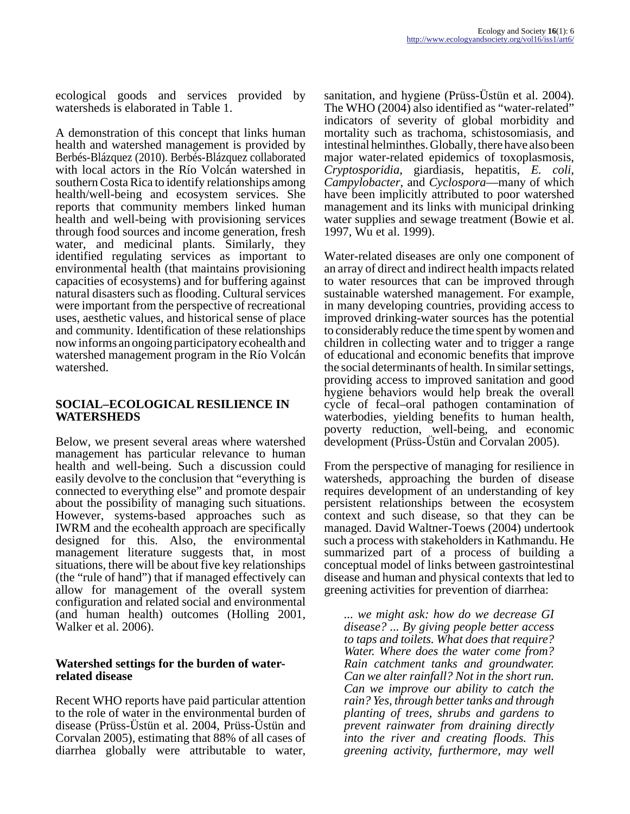ecological goods and services provided by watersheds is elaborated in Table 1.

A demonstration of this concept that links human health and watershed management is provided by Berbés-Blázquez (2010). Berbés-Blázquez collaborated with local actors in the Río Volcán watershed in southern Costa Rica to identify relationships among health/well-being and ecosystem services. She reports that community members linked human health and well-being with provisioning services through food sources and income generation, fresh water, and medicinal plants. Similarly, they identified regulating services as important to environmental health (that maintains provisioning capacities of ecosystems) and for buffering against natural disasters such as flooding. Cultural services were important from the perspective of recreational uses, aesthetic values, and historical sense of place and community. Identification of these relationships now informs an ongoing participatory ecohealth and watershed management program in the Río Volcán watershed.

#### **SOCIAL–ECOLOGICAL RESILIENCE IN WATERSHEDS**

Below, we present several areas where watershed management has particular relevance to human health and well-being. Such a discussion could easily devolve to the conclusion that "everything is connected to everything else" and promote despair about the possibility of managing such situations. However, systems-based approaches such as IWRM and the ecohealth approach are specifically designed for this. Also, the environmental management literature suggests that, in most situations, there will be about five key relationships (the "rule of hand") that if managed effectively can allow for management of the overall system configuration and related social and environmental (and human health) outcomes (Holling 2001, Walker et al. 2006).

#### **Watershed settings for the burden of waterrelated disease**

Recent WHO reports have paid particular attention to the role of water in the environmental burden of disease (Prüss-Üstün et al. 2004, Prüss-Üstün and Corvalan 2005), estimating that 88% of all cases of diarrhea globally were attributable to water,

sanitation, and hygiene (Prüss-Üstün et al. 2004). The WHO (2004) also identified as "water-related" indicators of severity of global morbidity and mortality such as trachoma, schistosomiasis, and intestinal helminthes. Globally, there have also been major water-related epidemics of toxoplasmosis, *Cryptosporidia*, giardiasis, hepatitis, *E. coli*, *Campylobacter*, and *Cyclospora*—many of which have been implicitly attributed to poor watershed management and its links with municipal drinking water supplies and sewage treatment (Bowie et al. 1997, Wu et al. 1999).

Water-related diseases are only one component of an array of direct and indirect health impacts related to water resources that can be improved through sustainable watershed management. For example, in many developing countries, providing access to improved drinking-water sources has the potential to considerably reduce the time spent by women and children in collecting water and to trigger a range of educational and economic benefits that improve the social determinants of health. In similar settings, providing access to improved sanitation and good hygiene behaviors would help break the overall cycle of fecal–oral pathogen contamination of waterbodies, yielding benefits to human health, poverty reduction, well-being, and economic development (Prüss-Üstün and Corvalan 2005).

From the perspective of managing for resilience in watersheds, approaching the burden of disease requires development of an understanding of key persistent relationships between the ecosystem context and such disease, so that they can be managed. David Waltner-Toews (2004) undertook such a process with stakeholders in Kathmandu. He summarized part of a process of building a conceptual model of links between gastrointestinal disease and human and physical contexts that led to greening activities for prevention of diarrhea:

*... we might ask: how do we decrease GI disease? ... By giving people better access to taps and toilets. What does that require? Water. Where does the water come from? Rain catchment tanks and groundwater. Can we alter rainfall? Not in the short run. Can we improve our ability to catch the rain? Yes, through better tanks and through planting of trees, shrubs and gardens to prevent rainwater from draining directly into the river and creating floods. This greening activity, furthermore, may well*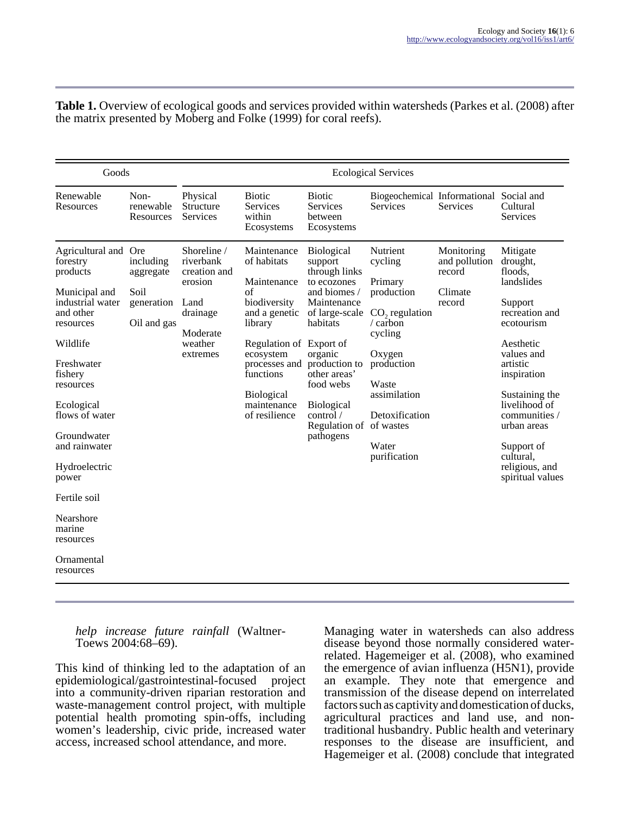**Table 1.** Overview of ecological goods and services provided within watersheds (Parkes et al. (2008) after the matrix presented by Moberg and Folke (1999) for coral reefs).

| Goods                                                                                                                                                                                                                                                                                                                                  |                                                             | <b>Ecological Services</b>                                                                                 |                                                                                                                                                                                                                        |                                                                                                                                                                                                                                                              |                                                                                                                                                                                             |                                                            |                                                                                                                                                                                                                                                                                    |  |  |
|----------------------------------------------------------------------------------------------------------------------------------------------------------------------------------------------------------------------------------------------------------------------------------------------------------------------------------------|-------------------------------------------------------------|------------------------------------------------------------------------------------------------------------|------------------------------------------------------------------------------------------------------------------------------------------------------------------------------------------------------------------------|--------------------------------------------------------------------------------------------------------------------------------------------------------------------------------------------------------------------------------------------------------------|---------------------------------------------------------------------------------------------------------------------------------------------------------------------------------------------|------------------------------------------------------------|------------------------------------------------------------------------------------------------------------------------------------------------------------------------------------------------------------------------------------------------------------------------------------|--|--|
| Renewable<br>Resources                                                                                                                                                                                                                                                                                                                 | Non-<br>renewable<br>Resources                              | Physical<br>Structure<br>Services                                                                          | <b>Biotic</b><br>Services<br>within<br>Ecosystems                                                                                                                                                                      | <b>Biotic</b><br><b>Services</b><br>between<br>Ecosystems                                                                                                                                                                                                    | Biogeochemical Informational Social and<br>Services                                                                                                                                         | Services                                                   | Cultural<br><b>Services</b>                                                                                                                                                                                                                                                        |  |  |
| Agricultural and Ore<br>forestry<br>products<br>Municipal and<br>industrial water<br>and other<br>resources<br>Wildlife<br>Freshwater<br>fishery<br>resources<br>Ecological<br>flows of water<br>Groundwater<br>and rainwater<br>Hydroelectric<br>power<br>Fertile soil<br>Nearshore<br>marine<br>resources<br>Ornamental<br>resources | including<br>aggregate<br>Soil<br>generation<br>Oil and gas | Shoreline /<br>riverbank<br>creation and<br>erosion<br>Land<br>drainage<br>Moderate<br>weather<br>extremes | Maintenance<br>of habitats<br>Maintenance<br>of<br>biodiversity<br>and a genetic<br>library<br>Regulation of Export of<br>ecosystem<br>processes and<br>functions<br><b>Biological</b><br>maintenance<br>of resilience | <b>Biological</b><br>support<br>through links<br>to ecozones<br>and biomes /<br>Maintenance<br>of large-scale<br>habitats<br>organic<br>production to<br>other areas'<br>food webs<br><b>Biological</b><br>control /<br>Regulation of of wastes<br>pathogens | Nutrient<br>cycling<br>Primary<br>production<br>$CO$ , regulation<br>$\sqrt{carbon}$<br>cycling<br>Oxygen<br>production<br>Waste<br>assimilation<br>Detoxification<br>Water<br>purification | Monitoring<br>and pollution<br>record<br>Climate<br>record | Mitigate<br>drought,<br>floods.<br>landslides<br>Support<br>recreation and<br>ecotourism<br>Aesthetic<br>values and<br>artistic<br>inspiration<br>Sustaining the<br>livelihood of<br>communities /<br>urban areas<br>Support of<br>cultural.<br>religious, and<br>spiritual values |  |  |

*help increase future rainfall* (Waltner-Toews 2004:68–69).

This kind of thinking led to the adaptation of an epidemiological/gastrointestinal-focused project into a community-driven riparian restoration and waste-management control project, with multiple potential health promoting spin-offs, including women's leadership, civic pride, increased water access, increased school attendance, and more.

Managing water in watersheds can also address disease beyond those normally considered waterrelated. Hagemeiger et al. (2008), who examined the emergence of avian influenza (H5N1), provide an example. They note that emergence and transmission of the disease depend on interrelated factors such as captivity and domestication of ducks, agricultural practices and land use, and nontraditional husbandry. Public health and veterinary responses to the disease are insufficient, and Hagemeiger et al. (2008) conclude that integrated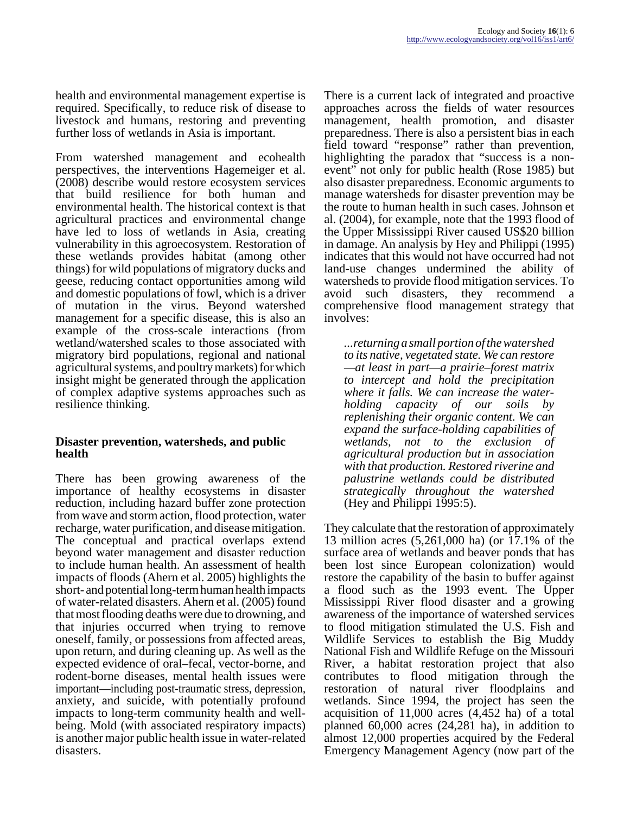health and environmental management expertise is required. Specifically, to reduce risk of disease to livestock and humans, restoring and preventing further loss of wetlands in Asia is important.

From watershed management and ecohealth perspectives, the interventions Hagemeiger et al. (2008) describe would restore ecosystem services that build resilience for both human and environmental health. The historical context is that agricultural practices and environmental change have led to loss of wetlands in Asia, creating vulnerability in this agroecosystem. Restoration of these wetlands provides habitat (among other things) for wild populations of migratory ducks and geese, reducing contact opportunities among wild and domestic populations of fowl, which is a driver of mutation in the virus. Beyond watershed management for a specific disease, this is also an example of the cross-scale interactions (from wetland/watershed scales to those associated with migratory bird populations, regional and national agricultural systems, and poultry markets) for which insight might be generated through the application of complex adaptive systems approaches such as resilience thinking.

## **Disaster prevention, watersheds, and public health**

There has been growing awareness of the importance of healthy ecosystems in disaster reduction, including hazard buffer zone protection from wave and storm action, flood protection, water recharge, water purification, and disease mitigation. The conceptual and practical overlaps extend beyond water management and disaster reduction to include human health. An assessment of health impacts of floods (Ahern et al. 2005) highlights the short- and potential long-term human health impacts of water-related disasters. Ahern et al. (2005) found that most flooding deaths were due to drowning, and that injuries occurred when trying to remove oneself, family, or possessions from affected areas, upon return, and during cleaning up. As well as the expected evidence of oral–fecal, vector-borne, and rodent-borne diseases, mental health issues were important—including post-traumatic stress, depression, anxiety, and suicide, with potentially profound impacts to long-term community health and wellbeing. Mold (with associated respiratory impacts) is another major public health issue in water-related disasters.

There is a current lack of integrated and proactive approaches across the fields of water resources management, health promotion, and disaster preparedness. There is also a persistent bias in each field toward "response" rather than prevention, highlighting the paradox that "success is a nonevent<sup>3</sup> not only for public health (Rose 1985) but also disaster preparedness. Economic arguments to manage watersheds for disaster prevention may be the route to human health in such cases. Johnson et al. (2004), for example, note that the 1993 flood of the Upper Mississippi River caused US\$20 billion in damage. An analysis by Hey and Philippi (1995) indicates that this would not have occurred had not land-use changes undermined the ability of watersheds to provide flood mitigation services. To avoid such disasters, they recommend a comprehensive flood management strategy that involves:

*...returning a small portion of the watershed to its native, vegetated state. We can restore —at least in part—a prairie–forest matrix to intercept and hold the precipitation where it falls. We can increase the waterholding capacity of our soils by replenishing their organic content. We can expand the surface-holding capabilities of wetlands, not to the exclusion of agricultural production but in association with that production. Restored riverine and palustrine wetlands could be distributed strategically throughout the watershed* (Hey and Philippi 1995:5).

They calculate that the restoration of approximately 13 million acres (5,261,000 ha) (or 17.1% of the surface area of wetlands and beaver ponds that has been lost since European colonization) would restore the capability of the basin to buffer against a flood such as the 1993 event. The Upper Mississippi River flood disaster and a growing awareness of the importance of watershed services to flood mitigation stimulated the U.S. Fish and Wildlife Services to establish the Big Muddy National Fish and Wildlife Refuge on the Missouri River, a habitat restoration project that also contributes to flood mitigation through the restoration of natural river floodplains and wetlands. Since 1994, the project has seen the acquisition of 11,000 acres (4,452 ha) of a total planned 60,000 acres (24,281 ha), in addition to almost 12,000 properties acquired by the Federal Emergency Management Agency (now part of the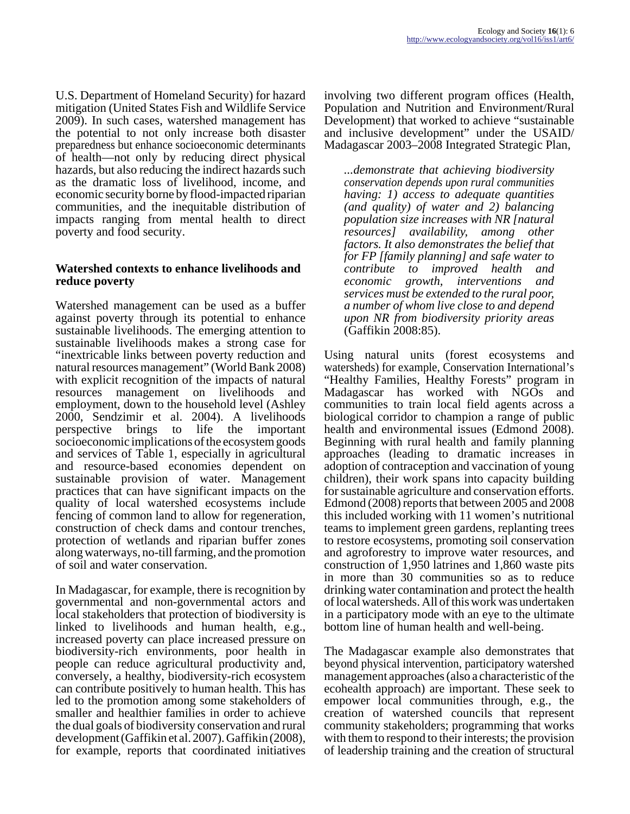U.S. Department of Homeland Security) for hazard mitigation (United States Fish and Wildlife Service 2009). In such cases, watershed management has the potential to not only increase both disaster preparedness but enhance socioeconomic determinants of health—not only by reducing direct physical hazards, but also reducing the indirect hazards such as the dramatic loss of livelihood, income, and economic security borne by flood-impacted riparian communities, and the inequitable distribution of impacts ranging from mental health to direct poverty and food security.

## **Watershed contexts to enhance livelihoods and reduce poverty**

Watershed management can be used as a buffer against poverty through its potential to enhance sustainable livelihoods. The emerging attention to sustainable livelihoods makes a strong case for "inextricable links between poverty reduction and natural resources management" (World Bank 2008) with explicit recognition of the impacts of natural resources management on livelihoods and employment, down to the household level (Ashley 2000, Sendzimir et al. 2004). A livelihoods perspective brings to life the important socioeconomic implications of the ecosystem goods and services of Table 1, especially in agricultural and resource-based economies dependent on sustainable provision of water. Management practices that can have significant impacts on the quality of local watershed ecosystems include fencing of common land to allow for regeneration, construction of check dams and contour trenches, protection of wetlands and riparian buffer zones along waterways, no-till farming, and the promotion of soil and water conservation.

In Madagascar, for example, there is recognition by governmental and non-governmental actors and local stakeholders that protection of biodiversity is linked to livelihoods and human health, e.g., increased poverty can place increased pressure on biodiversity-rich environments, poor health in people can reduce agricultural productivity and, conversely, a healthy, biodiversity-rich ecosystem can contribute positively to human health. This has led to the promotion among some stakeholders of smaller and healthier families in order to achieve the dual goals of biodiversity conservation and rural development (Gaffikin et al. 2007). Gaffikin (2008), for example, reports that coordinated initiatives

involving two different program offices (Health, Population and Nutrition and Environment/Rural Development) that worked to achieve "sustainable and inclusive development" under the USAID/ Madagascar 2003–2008 Integrated Strategic Plan,

*...demonstrate that achieving biodiversity conservation depends upon rural communities having: 1) access to adequate quantities (and quality) of water and 2) balancing population size increases with NR [natural resources] availability, among other factors. It also demonstrates the belief that for FP [family planning] and safe water to contribute to improved health and economic growth, interventions and services must be extended to the rural poor, a number of whom live close to and depend upon NR from biodiversity priority areas* (Gaffikin 2008:85).

Using natural units (forest ecosystems and watersheds) for example, Conservation International's "Healthy Families, Healthy Forests" program in Madagascar has worked with NGOs and communities to train local field agents across a biological corridor to champion a range of public health and environmental issues (Edmond 2008). Beginning with rural health and family planning approaches (leading to dramatic increases in adoption of contraception and vaccination of young children), their work spans into capacity building for sustainable agriculture and conservation efforts. Edmond (2008) reports that between 2005 and 2008 this included working with 11 women's nutritional teams to implement green gardens, replanting trees to restore ecosystems, promoting soil conservation and agroforestry to improve water resources, and construction of 1,950 latrines and 1,860 waste pits in more than 30 communities so as to reduce drinking water contamination and protect the health of local watersheds. All of this work was undertaken in a participatory mode with an eye to the ultimate bottom line of human health and well-being.

The Madagascar example also demonstrates that beyond physical intervention, participatory watershed management approaches (also a characteristic of the ecohealth approach) are important. These seek to empower local communities through, e.g., the creation of watershed councils that represent community stakeholders; programming that works with them to respond to their interests; the provision of leadership training and the creation of structural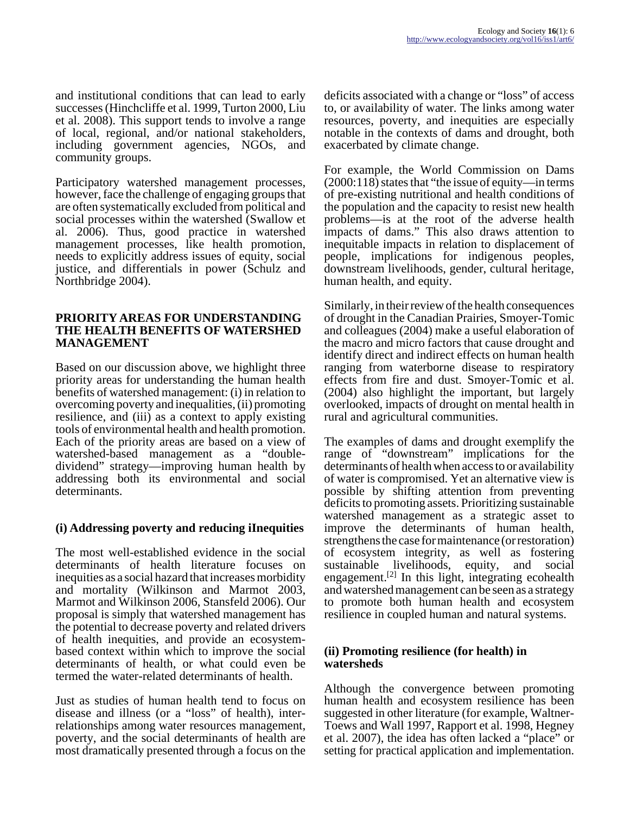and institutional conditions that can lead to early successes (Hinchcliffe et al. 1999, Turton 2000, Liu et al. 2008). This support tends to involve a range of local, regional, and/or national stakeholders, including government agencies, NGOs, and community groups.

Participatory watershed management processes, however, face the challenge of engaging groups that are often systematically excluded from political and social processes within the watershed (Swallow et al. 2006). Thus, good practice in watershed management processes, like health promotion, needs to explicitly address issues of equity, social justice, and differentials in power (Schulz and Northbridge 2004).

## **PRIORITY AREAS FOR UNDERSTANDING THE HEALTH BENEFITS OF WATERSHED MANAGEMENT**

Based on our discussion above, we highlight three priority areas for understanding the human health benefits of watershed management: (i) in relation to overcoming poverty and inequalities, (ii) promoting resilience, and (iii) as a context to apply existing tools of environmental health and health promotion. Each of the priority areas are based on a view of watershed-based management as a "doubledividend" strategy—improving human health by addressing both its environmental and social determinants.

## **(i) Addressing poverty and reducing iInequities**

The most well-established evidence in the social determinants of health literature focuses on inequities as a social hazard that increases morbidity and mortality (Wilkinson and Marmot 2003, Marmot and Wilkinson 2006, Stansfeld 2006). Our proposal is simply that watershed management has the potential to decrease poverty and related drivers of health inequities, and provide an ecosystembased context within which to improve the social determinants of health, or what could even be termed the water-related determinants of health.

Just as studies of human health tend to focus on disease and illness (or a "loss" of health), interrelationships among water resources management, poverty, and the social determinants of health are most dramatically presented through a focus on the

deficits associated with a change or "loss" of access to, or availability of water. The links among water resources, poverty, and inequities are especially notable in the contexts of dams and drought, both exacerbated by climate change.

For example, the World Commission on Dams  $(2000:118)$  states that "the issue of equity—in terms" of pre-existing nutritional and health conditions of the population and the capacity to resist new health problems—is at the root of the adverse health impacts of dams." This also draws attention to inequitable impacts in relation to displacement of people, implications for indigenous peoples, downstream livelihoods, gender, cultural heritage, human health, and equity.

Similarly, in their review of the health consequences of drought in the Canadian Prairies, Smoyer-Tomic and colleagues (2004) make a useful elaboration of the macro and micro factors that cause drought and identify direct and indirect effects on human health ranging from waterborne disease to respiratory effects from fire and dust. Smoyer-Tomic et al. (2004) also highlight the important, but largely overlooked, impacts of drought on mental health in rural and agricultural communities.

The examples of dams and drought exemplify the range of "downstream" implications for the determinants of health when access to or availability of water is compromised. Yet an alternative view is possible by shifting attention from preventing deficits to promoting assets. Prioritizing sustainable watershed management as a strategic asset to improve the determinants of human health, strengthens the case for maintenance (or restoration) of ecosystem integrity, as well as fostering sustainable livelihoods, equity, and social engagement. $[2]$  In this light, integrating ecohealth and watershed management can be seen as a strategy to promote both human health and ecosystem resilience in coupled human and natural systems.

## **(ii) Promoting resilience (for health) in watersheds**

Although the convergence between promoting human health and ecosystem resilience has been suggested in other literature (for example, Waltner-Toews and Wall 1997, Rapport et al. 1998, Hegney et al. 2007), the idea has often lacked a "place" or setting for practical application and implementation.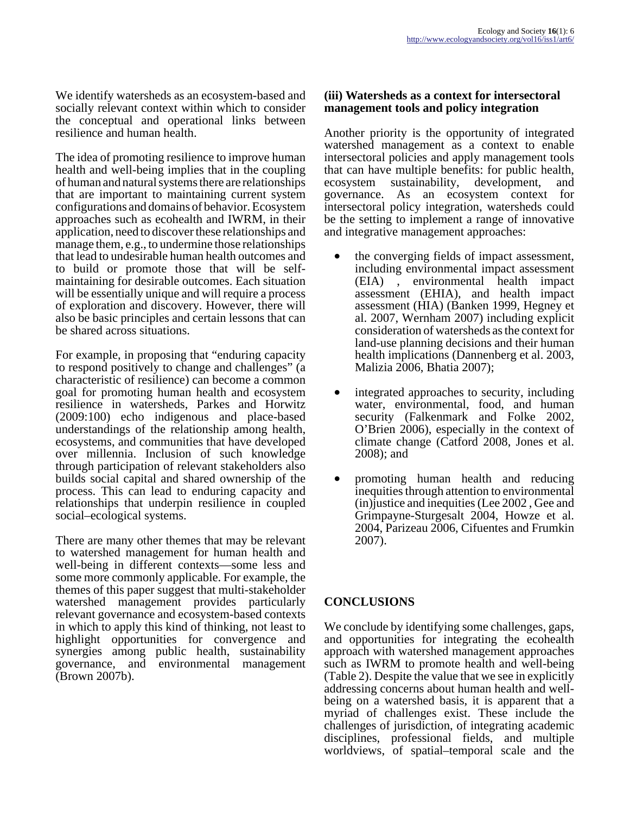We identify watersheds as an ecosystem-based and socially relevant context within which to consider the conceptual and operational links between resilience and human health.

The idea of promoting resilience to improve human health and well-being implies that in the coupling of human and natural systems there are relationships that are important to maintaining current system configurations and domains of behavior. Ecosystem approaches such as ecohealth and IWRM, in their application, need to discover these relationships and manage them, e.g., to undermine those relationships that lead to undesirable human health outcomes and to build or promote those that will be selfmaintaining for desirable outcomes. Each situation will be essentially unique and will require a process of exploration and discovery. However, there will also be basic principles and certain lessons that can be shared across situations.

For example, in proposing that "enduring capacity to respond positively to change and challenges" (a characteristic of resilience) can become a common goal for promoting human health and ecosystem resilience in watersheds, Parkes and Horwitz (2009:100) echo indigenous and place-based understandings of the relationship among health, ecosystems, and communities that have developed over millennia. Inclusion of such knowledge through participation of relevant stakeholders also builds social capital and shared ownership of the process. This can lead to enduring capacity and relationships that underpin resilience in coupled social–ecological systems.

There are many other themes that may be relevant to watershed management for human health and well-being in different contexts—some less and some more commonly applicable. For example, the themes of this paper suggest that multi-stakeholder watershed management provides particularly relevant governance and ecosystem-based contexts in which to apply this kind of thinking, not least to highlight opportunities for convergence and synergies among public health, sustainability governance, and environmental management (Brown 2007b).

## **(iii) Watersheds as a context for intersectoral management tools and policy integration**

Another priority is the opportunity of integrated watershed management as a context to enable intersectoral policies and apply management tools that can have multiple benefits: for public health, ecosystem sustainability, development, and governance. As an ecosystem context for intersectoral policy integration, watersheds could be the setting to implement a range of innovative and integrative management approaches:

- the converging fields of impact assessment, including environmental impact assessment (EIA) , environmental health impact assessment (EHIA), and health impact assessment (HIA) (Banken 1999, Hegney et al. 2007, Wernham 2007) including explicit consideration of watersheds as the context for land-use planning decisions and their human health implications (Dannenberg et al. 2003, Malizia 2006, Bhatia 2007);
- integrated approaches to security, including water, environmental, food, and human security (Falkenmark and Folke 2002, O'Brien 2006), especially in the context of climate change (Catford 2008, Jones et al. 2008); and
- promoting human health and reducing inequities through attention to environmental (in)justice and inequities (Lee 2002 , Gee and Grimpayne-Sturgesalt 2004, Howze et al. 2004, Parizeau 2006, Cifuentes and Frumkin 2007).

## **CONCLUSIONS**

We conclude by identifying some challenges, gaps, and opportunities for integrating the ecohealth approach with watershed management approaches such as IWRM to promote health and well-being (Table 2). Despite the value that we see in explicitly addressing concerns about human health and wellbeing on a watershed basis, it is apparent that a myriad of challenges exist. These include the challenges of jurisdiction, of integrating academic disciplines, professional fields, and multiple worldviews, of spatial–temporal scale and the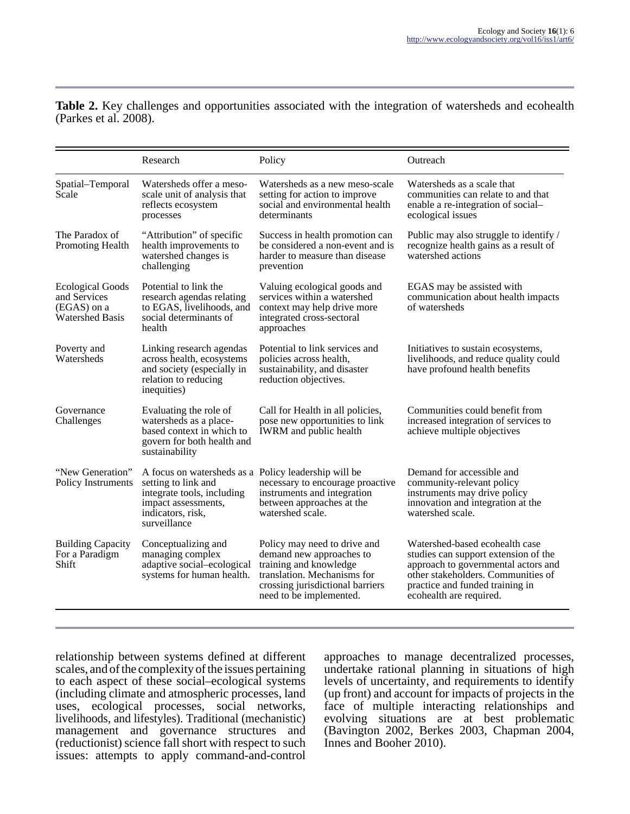|                       |  | Table 2. Key challenges and opportunities associated with the integration of watersheds and ecohealth |  |  |  |  |
|-----------------------|--|-------------------------------------------------------------------------------------------------------|--|--|--|--|
| (Parkes et al. 2008). |  |                                                                                                       |  |  |  |  |

|                                                                                  | Research                                                                                                                                                              | Policy                                                                                                                                                                           | Outreach                                                                                                                                                                                                          |
|----------------------------------------------------------------------------------|-----------------------------------------------------------------------------------------------------------------------------------------------------------------------|----------------------------------------------------------------------------------------------------------------------------------------------------------------------------------|-------------------------------------------------------------------------------------------------------------------------------------------------------------------------------------------------------------------|
| Spatial-Temporal<br>Scale                                                        | Watersheds offer a meso-<br>scale unit of analysis that<br>reflects ecosystem<br>processes                                                                            | Watersheds as a new meso-scale<br>setting for action to improve<br>social and environmental health<br>determinants                                                               | Watersheds as a scale that<br>communities can relate to and that<br>enable a re-integration of social-<br>ecological issues                                                                                       |
| The Paradox of<br>Promoting Health                                               | "Attribution" of specific<br>health improvements to<br>watershed changes is<br>challenging                                                                            | Success in health promotion can<br>be considered a non-event and is<br>harder to measure than disease<br>prevention                                                              | Public may also struggle to identify /<br>recognize health gains as a result of<br>watershed actions                                                                                                              |
| <b>Ecological Goods</b><br>and Services<br>(EGAS) on a<br><b>Watershed Basis</b> | Potential to link the<br>research agendas relating<br>to EGAS, livelihoods, and<br>social determinants of<br>health                                                   | Valuing ecological goods and<br>services within a watershed<br>context may help drive more<br>integrated cross-sectoral<br>approaches                                            | EGAS may be assisted with<br>communication about health impacts<br>of watersheds                                                                                                                                  |
| Poverty and<br>Watersheds                                                        | Linking research agendas<br>across health, ecosystems<br>and society (especially in<br>relation to reducing<br>inequities)                                            | Potential to link services and<br>policies across health,<br>sustainability, and disaster<br>reduction objectives.                                                               | Initiatives to sustain ecosystems,<br>livelihoods, and reduce quality could<br>have profound health benefits                                                                                                      |
| Governance<br>Challenges                                                         | Evaluating the role of<br>watersheds as a place-<br>based context in which to<br>govern for both health and<br>sustainability                                         | Call for Health in all policies,<br>pose new opportunities to link<br><b>IWRM</b> and public health                                                                              | Communities could benefit from<br>increased integration of services to<br>achieve multiple objectives                                                                                                             |
| "New Generation"<br><b>Policy Instruments</b>                                    | A focus on watersheds as a Policy leadership will be<br>setting to link and<br>integrate tools, including<br>impact assessments,<br>indicators, risk,<br>surveillance | necessary to encourage proactive<br>instruments and integration<br>between approaches at the<br>watershed scale.                                                                 | Demand for accessible and<br>community-relevant policy<br>instruments may drive policy<br>innovation and integration at the<br>watershed scale.                                                                   |
| <b>Building Capacity</b><br>For a Paradigm<br>Shift                              | Conceptualizing and<br>managing complex<br>adaptive social-ecological<br>systems for human health.                                                                    | Policy may need to drive and<br>demand new approaches to<br>training and knowledge<br>translation. Mechanisms for<br>crossing jurisdictional barriers<br>need to be implemented. | Watershed-based ecohealth case<br>studies can support extension of the<br>approach to governmental actors and<br>other stakeholders. Communities of<br>practice and funded training in<br>ecohealth are required. |

relationship between systems defined at different scales, and of the complexity of the issues pertaining to each aspect of these social–ecological systems (including climate and atmospheric processes, land uses, ecological processes, social networks, livelihoods, and lifestyles). Traditional (mechanistic) management and governance structures and (reductionist) science fall short with respect to such issues: attempts to apply command-and-control approaches to manage decentralized processes, undertake rational planning in situations of high levels of uncertainty, and requirements to identify (up front) and account for impacts of projects in the face of multiple interacting relationships and evolving situations are at best problematic (Bavington 2002, Berkes 2003, Chapman 2004, Innes and Booher 2010).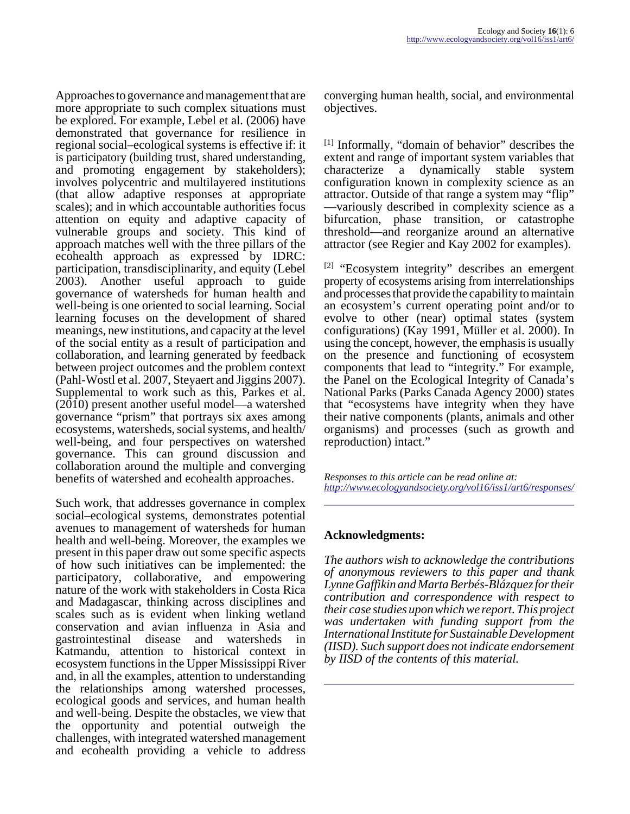Approaches to governance and management that are more appropriate to such complex situations must be explored. For example, Lebel et al. (2006) have demonstrated that governance for resilience in regional social–ecological systems is effective if: it is participatory (building trust, shared understanding, and promoting engagement by stakeholders); involves polycentric and multilayered institutions (that allow adaptive responses at appropriate scales); and in which accountable authorities focus attention on equity and adaptive capacity of vulnerable groups and society. This kind of approach matches well with the three pillars of the ecohealth approach as expressed by IDRC: participation, transdisciplinarity, and equity (Lebel 2003). Another useful approach to guide governance of watersheds for human health and well-being is one oriented to social learning. Social learning focuses on the development of shared meanings, new institutions, and capacity at the level of the social entity as a result of participation and collaboration, and learning generated by feedback between project outcomes and the problem context (Pahl-Wostl et al. 2007, Steyaert and Jiggins 2007). Supplemental to work such as this, Parkes et al. (2010) present another useful model—a watershed governance "prism" that portrays six axes among ecosystems, watersheds, social systems, and health/ well-being, and four perspectives on watershed governance. This can ground discussion and collaboration around the multiple and converging benefits of watershed and ecohealth approaches.

Such work, that addresses governance in complex social–ecological systems, demonstrates potential avenues to management of watersheds for human health and well-being. Moreover, the examples we present in this paper draw out some specific aspects of how such initiatives can be implemented: the participatory, collaborative, and empowering nature of the work with stakeholders in Costa Rica and Madagascar, thinking across disciplines and scales such as is evident when linking wetland conservation and avian influenza in Asia and gastrointestinal disease and watersheds in Katmandu, attention to historical context in ecosystem functions in the Upper Mississippi River and, in all the examples, attention to understanding the relationships among watershed processes, ecological goods and services, and human health and well-being. Despite the obstacles, we view that the opportunity and potential outweigh the challenges, with integrated watershed management and ecohealth providing a vehicle to address

converging human health, social, and environmental objectives.

[1] Informally, "domain of behavior" describes the extent and range of important system variables that characterize a dynamically stable system configuration known in complexity science as an attractor. Outside of that range a system may "flip" —variously described in complexity science as a bifurcation, phase transition, or catastrophe threshold—and reorganize around an alternative attractor (see Regier and Kay 2002 for examples).

[2] "Ecosystem integrity" describes an emergent property of ecosystems arising from interrelationships and processes that provide the capability to maintain an ecosystem's current operating point and/or to evolve to other (near) optimal states (system configurations) (Kay 1991, Müller et al. 2000). In using the concept, however, the emphasis is usually on the presence and functioning of ecosystem components that lead to "integrity." For example, the Panel on the Ecological Integrity of Canada's National Parks (Parks Canada Agency 2000) states that "ecosystems have integrity when they have their native components (plants, animals and other organisms) and processes (such as growth and reproduction) intact."

*Responses to this article can be read online at: <http://www.ecologyandsociety.org/vol16/iss1/art6/responses/>*

## **Acknowledgments:**

*The authors wish to acknowledge the contributions of anonymous reviewers to this paper and thank Lynne Gaffikin and Marta Berbés-Blázquez for their contribution and correspondence with respect to their case studies upon which we report. This project was undertaken with funding support from the International Institute for Sustainable Development (IISD). Such support does not indicate endorsement by IISD of the contents of this material.*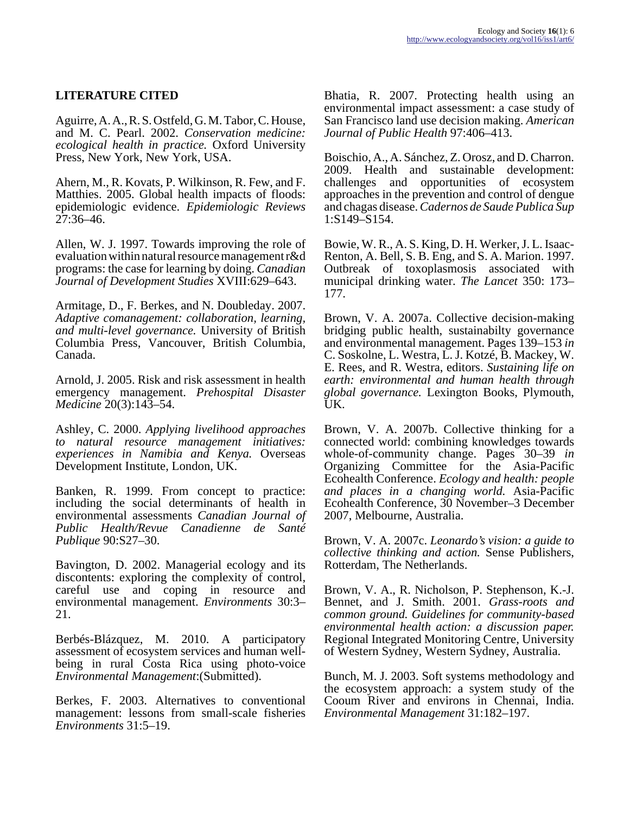## **LITERATURE CITED**

Aguirre, A. A., R. S. Ostfeld, G. M. Tabor, C. House, and M. C. Pearl. 2002. *Conservation medicine: ecological health in practice.* Oxford University Press, New York, New York, USA.

Ahern, M., R. Kovats, P. Wilkinson, R. Few, and F. Matthies. 2005. Global health impacts of floods: epidemiologic evidence. *Epidemiologic Reviews* 27:36–46.

Allen, W. J. 1997. Towards improving the role of evaluation within natural resource management r&d programs: the case for learning by doing. *Canadian Journal of Development Studies* XVIII:629–643.

Armitage, D., F. Berkes, and N. Doubleday. 2007. *Adaptive comanagement: collaboration, learning, and multi-level governance.* University of British Columbia Press, Vancouver, British Columbia, Canada.

Arnold, J. 2005. Risk and risk assessment in health emergency management. *Prehospital Disaster Medicine* 20(3):143–54.

Ashley, C. 2000. *Applying livelihood approaches to natural resource management initiatives: experiences in Namibia and Kenya.* Overseas Development Institute, London, UK.

Banken, R. 1999. From concept to practice: including the social determinants of health in environmental assessments *Canadian Journal of Public Health/Revue Canadienne de Santé Publique* 90:S27–30.

Bavington, D. 2002. Managerial ecology and its discontents: exploring the complexity of control, careful use and coping in resource and environmental management. *Environments* 30:3– 21.

Berbés-Blázquez, M. 2010. A participatory assessment of ecosystem services and human wellbeing in rural Costa Rica using photo-voice *Environmental Management*:(Submitted).

Berkes, F. 2003. Alternatives to conventional management: lessons from small-scale fisheries *Environments* 31:5–19.

Bhatia, R. 2007. Protecting health using an environmental impact assessment: a case study of San Francisco land use decision making. *American Journal of Public Health* 97:406–413.

Boischio, A., A. Sánchez, Z. Orosz, and D. Charron. 2009. Health and sustainable development: challenges and opportunities of ecosystem approaches in the prevention and control of dengue and chagas disease. *Cadernos de Saude Publica Sup* 1:S149–S154.

Bowie, W. R., A. S. King, D. H. Werker, J. L. Isaac-Renton, A. Bell, S. B. Eng, and S. A. Marion. 1997. Outbreak of toxoplasmosis associated with municipal drinking water. *The Lancet* 350: 173– 177.

Brown, V. A. 2007a. Collective decision-making bridging public health, sustainabilty governance and environmental management. Pages 139–153 *in* C. Soskolne, L. Westra, L. J. Kotzé, B. Mackey, W. E. Rees, and R. Westra, editors. *Sustaining life on earth: environmental and human health through global governance.* Lexington Books, Plymouth, UK.

Brown, V. A. 2007b. Collective thinking for a connected world: combining knowledges towards whole-of-community change. Pages 30–39 *in* Organizing Committee for the Asia-Pacific Ecohealth Conference. *Ecology and health: people and places in a changing world.* Asia-Pacific Ecohealth Conference, 30 November–3 December 2007, Melbourne, Australia.

Brown, V. A. 2007c. *Leonardo's vision: a guide to collective thinking and action.* Sense Publishers, Rotterdam, The Netherlands.

Brown, V. A., R. Nicholson, P. Stephenson, K.-J. Bennet, and J. Smith. 2001. *Grass-roots and common ground. Guidelines for community-based environmental health action: a discussion paper.* Regional Integrated Monitoring Centre, University of Western Sydney, Western Sydney, Australia.

Bunch, M. J. 2003. Soft systems methodology and the ecosystem approach: a system study of the Cooum River and environs in Chennai, India. *Environmental Management* 31:182–197.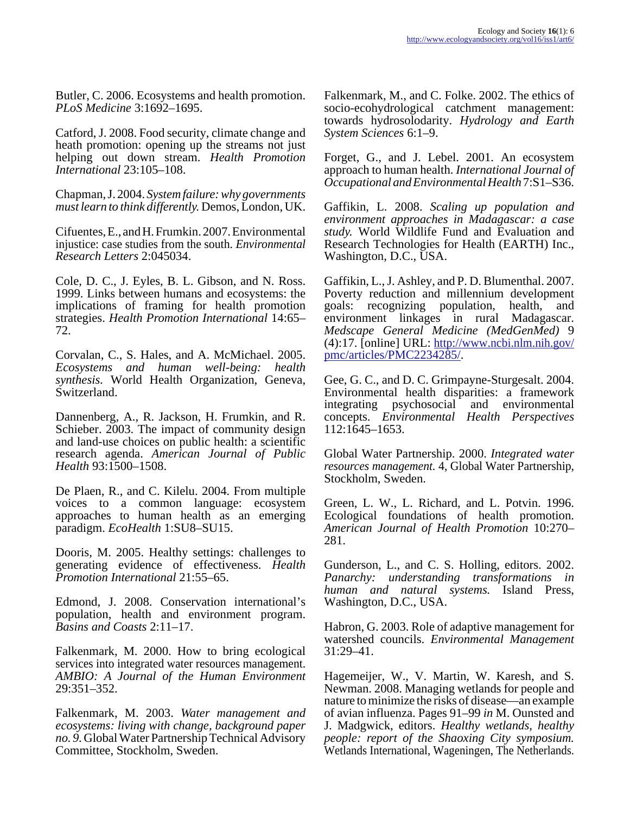Butler, C. 2006. Ecosystems and health promotion. *PLoS Medicine* 3:1692–1695.

Catford, J. 2008. Food security, climate change and heath promotion: opening up the streams not just helping out down stream. *Health Promotion International* 23:105–108.

Chapman, J. 2004. *System failure: why governments must learn to think differently.* Demos, London, UK.

Cifuentes, E., and H. Frumkin. 2007. Environmental injustice: case studies from the south. *Environmental Research Letters* 2:045034.

Cole, D. C., J. Eyles, B. L. Gibson, and N. Ross. 1999. Links between humans and ecosystems: the implications of framing for health promotion strategies. *Health Promotion International* 14:65– 72.

Corvalan, C., S. Hales, and A. McMichael. 2005. *Ecosystems and human well-being: health synthesis.* World Health Organization, Geneva, Switzerland.

Dannenberg, A., R. Jackson, H. Frumkin, and R. Schieber. 2003. The impact of community design and land-use choices on public health: a scientific research agenda. *American Journal of Public Health* 93:1500–1508.

De Plaen, R., and C. Kilelu. 2004. From multiple voices to a common language: ecosystem approaches to human health as an emerging paradigm. *EcoHealth* 1:SU8–SU15.

Dooris, M. 2005. Healthy settings: challenges to generating evidence of effectiveness. *Health Promotion International* 21:55–65.

Edmond, J. 2008. Conservation international's population, health and environment program. *Basins and Coasts* 2:11–17.

Falkenmark, M. 2000. How to bring ecological services into integrated water resources management. *AMBIO: A Journal of the Human Environment* 29:351–352.

Falkenmark, M. 2003. *Water management and ecosystems: living with change, background paper no. 9.* Global Water Partnership Technical Advisory Committee, Stockholm, Sweden.

Falkenmark, M., and C. Folke. 2002. The ethics of socio-ecohydrological catchment management: towards hydrosolodarity. *Hydrology and Earth System Sciences* 6:1–9.

Forget, G., and J. Lebel. 2001. An ecosystem approach to human health. *International Journal of Occupational and Environmental Health* 7:S1–S36.

Gaffikin, L. 2008. *Scaling up population and environment approaches in Madagascar: a case study.* World Wildlife Fund and Evaluation and Research Technologies for Health (EARTH) Inc., Washington, D.C., USA.

Gaffikin, L., J. Ashley, and P. D. Blumenthal. 2007. Poverty reduction and millennium development goals: recognizing population, health, and environment linkages in rural Madagascar. *Medscape General Medicine (MedGenMed)* 9 (4):17. [online] URL: [http://www.ncbi.nlm.nih.gov/](http://www.ncbi.nlm.nih.gov/pmc/articles/PMC2234285/) [pmc/articles/PMC2234285/.](http://www.ncbi.nlm.nih.gov/pmc/articles/PMC2234285/)

Gee, G. C., and D. C. Grimpayne-Sturgesalt. 2004. Environmental health disparities: a framework integrating psychosocial and environmental concepts. *Environmental Health Perspectives* 112:1645–1653.

Global Water Partnership. 2000. *Integrated water resources management.* 4, Global Water Partnership, Stockholm, Sweden.

Green, L. W., L. Richard, and L. Potvin. 1996. Ecological foundations of health promotion. *American Journal of Health Promotion* 10:270– 281.

Gunderson, L., and C. S. Holling, editors. 2002. *Panarchy: understanding transformations in human and natural systems.* Island Press, Washington, D.C., USA.

Habron, G. 2003. Role of adaptive management for watershed councils. *Environmental Management* 31:29–41.

Hagemeijer, W., V. Martin, W. Karesh, and S. Newman. 2008. Managing wetlands for people and nature to minimize the risks of disease—an example of avian influenza. Pages 91–99 *in* M. Ounsted and J. Madgwick, editors. *Healthy wetlands, healthy people: report of the Shaoxing City symposium.* Wetlands International, Wageningen, The Netherlands.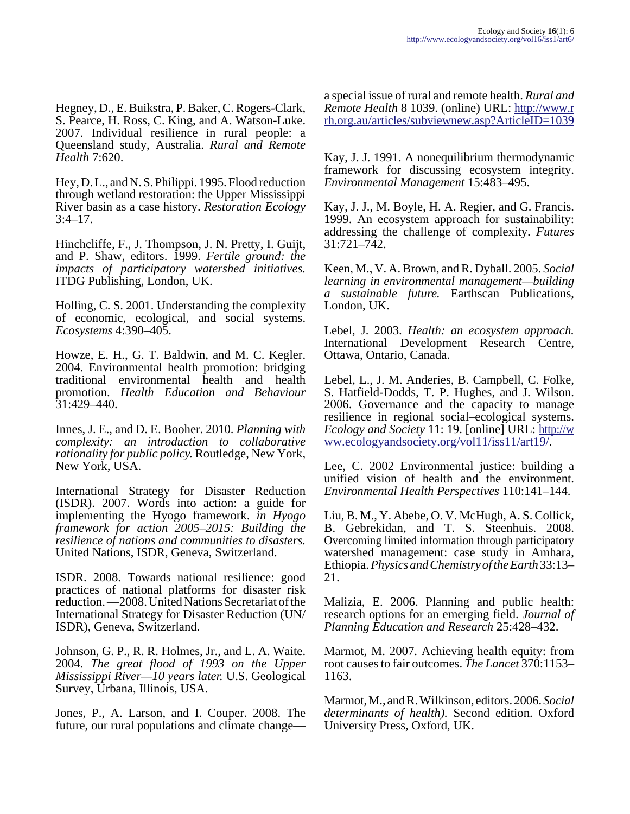Hegney, D., E. Buikstra, P. Baker, C. Rogers-Clark, S. Pearce, H. Ross, C. King, and A. Watson-Luke. 2007. Individual resilience in rural people: a Queensland study, Australia. *Rural and Remote Health* 7:620.

Hey, D. L., and N. S. Philippi. 1995. Flood reduction through wetland restoration: the Upper Mississippi River basin as a case history. *Restoration Ecology*  $3:4–17$ .

Hinchcliffe, F., J. Thompson, J. N. Pretty, I. Guijt, and P. Shaw, editors. 1999. *Fertile ground: the impacts of participatory watershed initiatives.* ITDG Publishing, London, UK.

Holling, C. S. 2001. Understanding the complexity of economic, ecological, and social systems. *Ecosystems* 4:390–405.

Howze, E. H., G. T. Baldwin, and M. C. Kegler. 2004. Environmental health promotion: bridging traditional environmental health and health promotion. *Health Education and Behaviour* 31:429–440.

Innes, J. E., and D. E. Booher. 2010. *Planning with complexity: an introduction to collaborative rationality for public policy.* Routledge, New York, New York, USA.

International Strategy for Disaster Reduction (ISDR). 2007. Words into action: a guide for implementing the Hyogo framework. *in Hyogo framework for action 2005–2015: Building the resilience of nations and communities to disasters.* United Nations, ISDR, Geneva, Switzerland.

ISDR. 2008. Towards national resilience: good practices of national platforms for disaster risk reduction. —2008. United Nations Secretariat of the International Strategy for Disaster Reduction (UN/ ISDR), Geneva, Switzerland.

Johnson, G. P., R. R. Holmes, Jr., and L. A. Waite. 2004. *The great flood of 1993 on the Upper Mississippi River—10 years later.* U.S. Geological Survey, Urbana, Illinois, USA.

Jones, P., A. Larson, and I. Couper. 2008. The future, our rural populations and climate changea special issue of rural and remote health. *Rural and Remote Health* 8 1039. (online) URL: [http://www.r](http://www.rrh.org.au/articles/subviewnew.asp?ArticleID=1039) [rh.org.au/articles/subviewnew.asp?ArticleID=1039](http://www.rrh.org.au/articles/subviewnew.asp?ArticleID=1039)

Kay, J. J. 1991. A nonequilibrium thermodynamic framework for discussing ecosystem integrity. *Environmental Management* 15:483–495.

Kay, J. J., M. Boyle, H. A. Regier, and G. Francis. 1999. An ecosystem approach for sustainability: addressing the challenge of complexity. *Futures* 31:721–742.

Keen, M., V. A. Brown, and R. Dyball. 2005. *Social learning in environmental management—building a sustainable future.* Earthscan Publications, London, UK.

Lebel, J. 2003. *Health: an ecosystem approach.* International Development Research Centre, Ottawa, Ontario, Canada.

Lebel, L., J. M. Anderies, B. Campbell, C. Folke, S. Hatfield-Dodds, T. P. Hughes, and J. Wilson. 2006. Governance and the capacity to manage resilience in regional social–ecological systems. *Ecology and Society* 11: 19. [online] URL: [http://w](http://www.ecologyandsociety.org/vol11/iss11/art19/) [ww.ecologyandsociety.org/vol11/iss11/art19/.](http://www.ecologyandsociety.org/vol11/iss11/art19/)

Lee, C. 2002 Environmental justice: building a unified vision of health and the environment. *Environmental Health Perspectives* 110:141–144.

Liu, B. M., Y. Abebe, O. V. McHugh, A. S. Collick, B. Gebrekidan, and T. S. Steenhuis. 2008. Overcoming limited information through participatory watershed management: case study in Amhara, Ethiopia. *Physics and Chemistry of the Earth* 33:13– 21.

Malizia, E. 2006. Planning and public health: research options for an emerging field. *Journal of Planning Education and Research* 25:428–432.

Marmot, M. 2007. Achieving health equity: from root causes to fair outcomes. *The Lancet* 370:1153– 1163.

Marmot, M., and R. Wilkinson, editors. 2006. *Social determinants of health).* Second edition. Oxford University Press, Oxford, UK.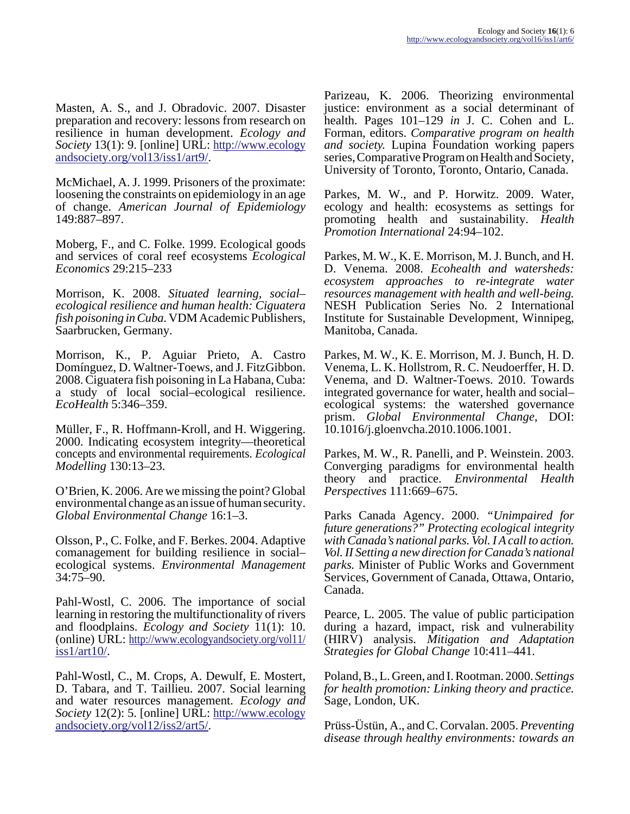Masten, A. S., and J. Obradovic. 2007. Disaster preparation and recovery: lessons from research on resilience in human development. *Ecology and Society* 13(1): 9. [online] URL: [http://www.ecology](http://www.ecologyandsociety.org/vol13/iss1/art9/) [andsociety.org/vol13/iss1/art9/](http://www.ecologyandsociety.org/vol13/iss1/art9/).

McMichael, A. J. 1999. Prisoners of the proximate: loosening the constraints on epidemiology in an age of change. *American Journal of Epidemiology* 149:887–897.

Moberg, F., and C. Folke. 1999. Ecological goods and services of coral reef ecosystems *Ecological Economics* 29:215–233

Morrison, K. 2008. *Situated learning, social– ecological resilience and human health: Ciguatera fish poisoning in Cuba.* VDM Academic Publishers, Saarbrucken, Germany.

Morrison, K., P. Aguiar Prieto, A. Castro Domínguez, D. Waltner-Toews, and J. FitzGibbon. 2008. Ciguatera fish poisoning in La Habana, Cuba: a study of local social–ecological resilience. *EcoHealth* 5:346–359.

Müller, F., R. Hoffmann-Kroll, and H. Wiggering. 2000. Indicating ecosystem integrity—theoretical concepts and environmental requirements. *Ecological Modelling* 130:13–23.

O'Brien, K. 2006. Are we missing the point? Global environmental change as an issue of human security. *Global Environmental Change* 16:1–3.

Olsson, P., C. Folke, and F. Berkes. 2004. Adaptive comanagement for building resilience in social– ecological systems. *Environmental Management* 34:75–90.

Pahl-Wostl, C. 2006. The importance of social learning in restoring the multifunctionality of rivers and floodplains. *Ecology and Society* 11(1): 10. (online) URL: [http://www.ecologyandsociety.org/vol11/](http://www.ecologyandsociety.org/vol11/iss1/art10/) [iss1/art10/](http://www.ecologyandsociety.org/vol11/iss1/art10/).

Pahl-Wostl, C., M. Crops, A. Dewulf, E. Mostert, D. Tabara, and T. Taillieu. 2007. Social learning and water resources management. *Ecology and Society* 12(2): 5. [online] URL: [http://www.ecology](http://www.ecologyandsociety.org/vol12/iss2/art5/) [andsociety.org/vol12/iss2/art5/](http://www.ecologyandsociety.org/vol12/iss2/art5/).

Parizeau, K. 2006. Theorizing environmental justice: environment as a social determinant of health. Pages 101–129 *in* J. C. Cohen and L. Forman, editors. *Comparative program on health and society.* Lupina Foundation working papers series, Comparative Program on Health and Society, University of Toronto, Toronto, Ontario, Canada.

Parkes, M. W., and P. Horwitz. 2009. Water, ecology and health: ecosystems as settings for promoting health and sustainability. *Health Promotion International* 24:94–102.

Parkes, M. W., K. E. Morrison, M. J. Bunch, and H. D. Venema. 2008. *Ecohealth and watersheds: ecosystem approaches to re-integrate water resources management with health and well-being.* NESH Publication Series No. 2 International Institute for Sustainable Development, Winnipeg, Manitoba, Canada.

Parkes, M. W., K. E. Morrison, M. J. Bunch, H. D. Venema, L. K. Hollstrom, R. C. Neudoerffer, H. D. Venema, and D. Waltner-Toews. 2010. Towards integrated governance for water, health and social– ecological systems: the watershed governance prism. *Global Environmental Change*, DOI: 10.1016/j.gloenvcha.2010.1006.1001.

Parkes, M. W., R. Panelli, and P. Weinstein. 2003. Converging paradigms for environmental health theory and practice. *Environmental Health Perspectives* 111:669–675.

Parks Canada Agency. 2000. *"Unimpaired for future generations?" Protecting ecological integrity with Canada's national parks. Vol. I A call to action. Vol. II Setting a new direction for Canada's national parks.* Minister of Public Works and Government Services, Government of Canada, Ottawa, Ontario, Canada.

Pearce, L. 2005. The value of public participation during a hazard, impact, risk and vulnerability (HIRV) analysis. *Mitigation and Adaptation Strategies for Global Change* 10:411–441.

Poland, B., L. Green, and I. Rootman. 2000. *Settings for health promotion: Linking theory and practice.* Sage, London, UK.

Prüss-Üstün, A., and C. Corvalan. 2005. *Preventing disease through healthy environments: towards an*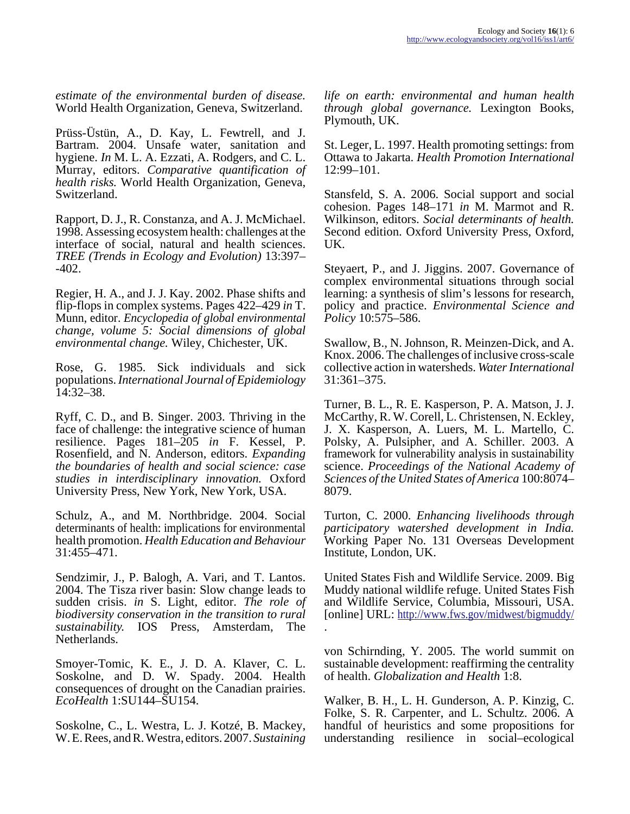*estimate of the environmental burden of disease.* World Health Organization, Geneva, Switzerland.

Prüss-Üstün, A., D. Kay, L. Fewtrell, and J. Bartram. 2004. Unsafe water, sanitation and hygiene. *In* M. L. A. Ezzati, A. Rodgers, and C. L. Murray, editors. *Comparative quantification of health risks.* World Health Organization, Geneva, Switzerland.

Rapport, D. J., R. Constanza, and A. J. McMichael. 1998. Assessing ecosystem health: challenges at the interface of social, natural and health sciences. *TREE (Trends in Ecology and Evolution)* 13:397– -402.

Regier, H. A., and J. J. Kay. 2002. Phase shifts and flip-flops in complex systems. Pages 422–429 *in* T. Munn, editor. *Encyclopedia of global environmental change, volume 5: Social dimensions of global environmental change.* Wiley, Chichester, UK.

Rose, G. 1985. Sick individuals and sick populations. *International Journal of Epidemiology* 14:32–38.

Ryff, C. D., and B. Singer. 2003. Thriving in the face of challenge: the integrative science of human resilience. Pages 181–205 *in* F. Kessel, P. Rosenfield, and N. Anderson, editors. *Expanding the boundaries of health and social science: case studies in interdisciplinary innovation.* Oxford University Press, New York, New York, USA.

Schulz, A., and M. Northbridge. 2004. Social determinants of health: implications for environmental health promotion. *Health Education and Behaviour* 31:455–471.

Sendzimir, J., P. Balogh, A. Vari, and T. Lantos. 2004. The Tisza river basin: Slow change leads to sudden crisis. *in* S. Light, editor. *The role of biodiversity conservation in the transition to rural sustainability.* IOS Press, Amsterdam, The Netherlands.

Smoyer-Tomic, K. E., J. D. A. Klaver, C. L. Soskolne, and D. W. Spady. 2004. Health consequences of drought on the Canadian prairies. *EcoHealth* 1:SU144–SU154.

Soskolne, C., L. Westra, L. J. Kotzé, B. Mackey, W. E. Rees, and R. Westra, editors. 2007. *Sustaining* *life on earth: environmental and human health through global governance.* Lexington Books, Plymouth, UK.

St. Leger, L. 1997. Health promoting settings: from Ottawa to Jakarta. *Health Promotion International* 12:99–101.

Stansfeld, S. A. 2006. Social support and social cohesion. Pages 148–171 *in* M. Marmot and R. Wilkinson, editors. *Social determinants of health.* Second edition. Oxford University Press, Oxford, UK.

Steyaert, P., and J. Jiggins. 2007. Governance of complex environmental situations through social learning: a synthesis of slim's lessons for research, policy and practice. *Environmental Science and Policy* 10:575–586.

Swallow, B., N. Johnson, R. Meinzen-Dick, and A. Knox. 2006. The challenges of inclusive cross-scale collective action in watersheds. *Water International* 31:361–375.

Turner, B. L., R. E. Kasperson, P. A. Matson, J. J. McCarthy, R. W. Corell, L. Christensen, N. Eckley, J. X. Kasperson, A. Luers, M. L. Martello, C. Polsky, A. Pulsipher, and A. Schiller. 2003. A framework for vulnerability analysis in sustainability science. *Proceedings of the National Academy of Sciences of the United States of America* 100:8074– 8079.

Turton, C. 2000. *Enhancing livelihoods through participatory watershed development in India.* Working Paper No. 131 Overseas Development Institute, London, UK.

United States Fish and Wildlife Service. 2009. Big Muddy national wildlife refuge. United States Fish and Wildlife Service, Columbia, Missouri, USA. [online] URL:<http://www.fws.gov/midwest/bigmuddy/> .

von Schirnding, Y. 2005. The world summit on sustainable development: reaffirming the centrality of health. *Globalization and Health* 1:8.

Walker, B. H., L. H. Gunderson, A. P. Kinzig, C. Folke, S. R. Carpenter, and L. Schultz. 2006. A handful of heuristics and some propositions for understanding resilience in social–ecological